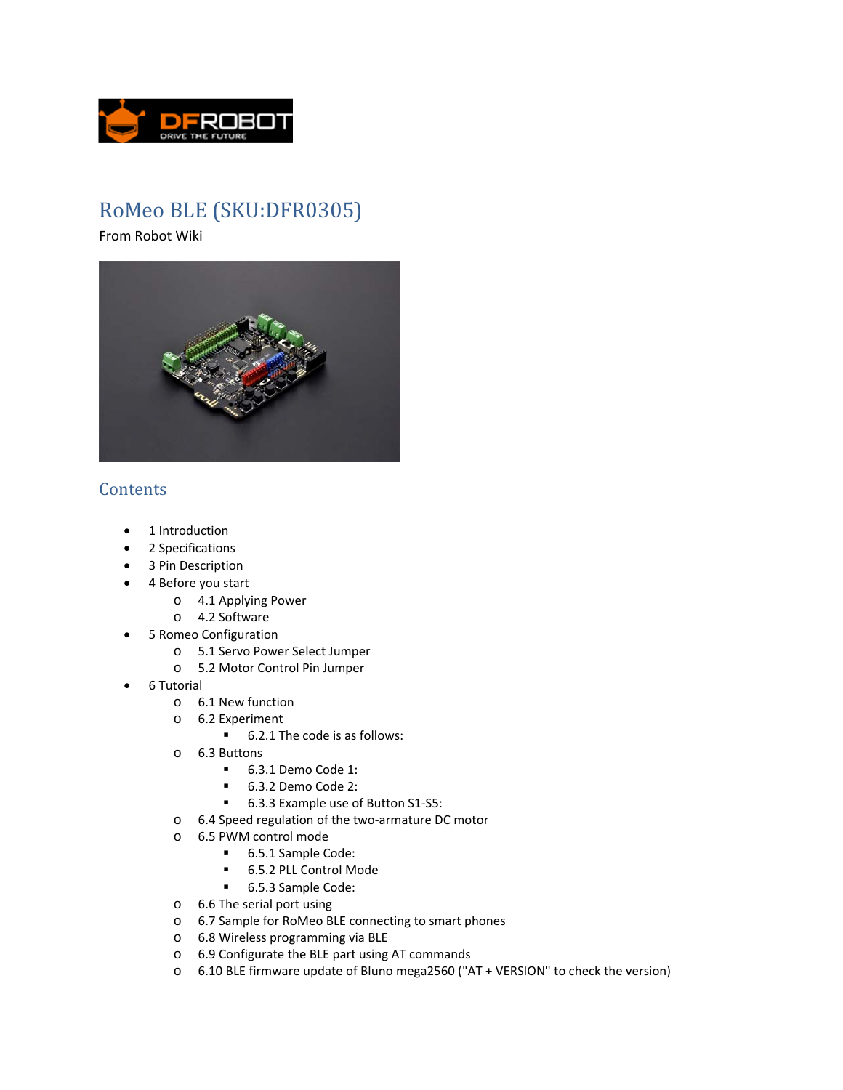

# RoMeo BLE (SKU:DFR0305)

From Robot Wiki



## **Contents**

- 1 Introduction
- 2 Specifications
- 3 Pin Description
- 4 Before you start
	- o 4.1 Applying Power
	- o 4.2 Software
- 5 Romeo Configuration
	- o 5.1 Servo Power Select Jumper
	- o 5.2 Motor Control Pin Jumper
- 6 Tutorial
	- o 6.1 New function
	- o 6.2 Experiment
		- 6.2.1 The code is as follows:
	- o 6.3 Buttons
		- 6.3.1 Demo Code 1:
		- 6.3.2 Demo Code 2:
		- 6.3.3 Example use of Button S1-S5:
	- o 6.4 Speed regulation of the two‐armature DC motor
	- o 6.5 PWM control mode
		- 6.5.1 Sample Code:
		- 6.5.2 PLL Control Mode
		- 6.5.3 Sample Code:
	- o 6.6 The serial port using
	- o 6.7 Sample for RoMeo BLE connecting to smart phones
	- o 6.8 Wireless programming via BLE
	- o 6.9 Configurate the BLE part using AT commands
	- o 6.10 BLE firmware update of Bluno mega2560 ("AT + VERSION" to check the version)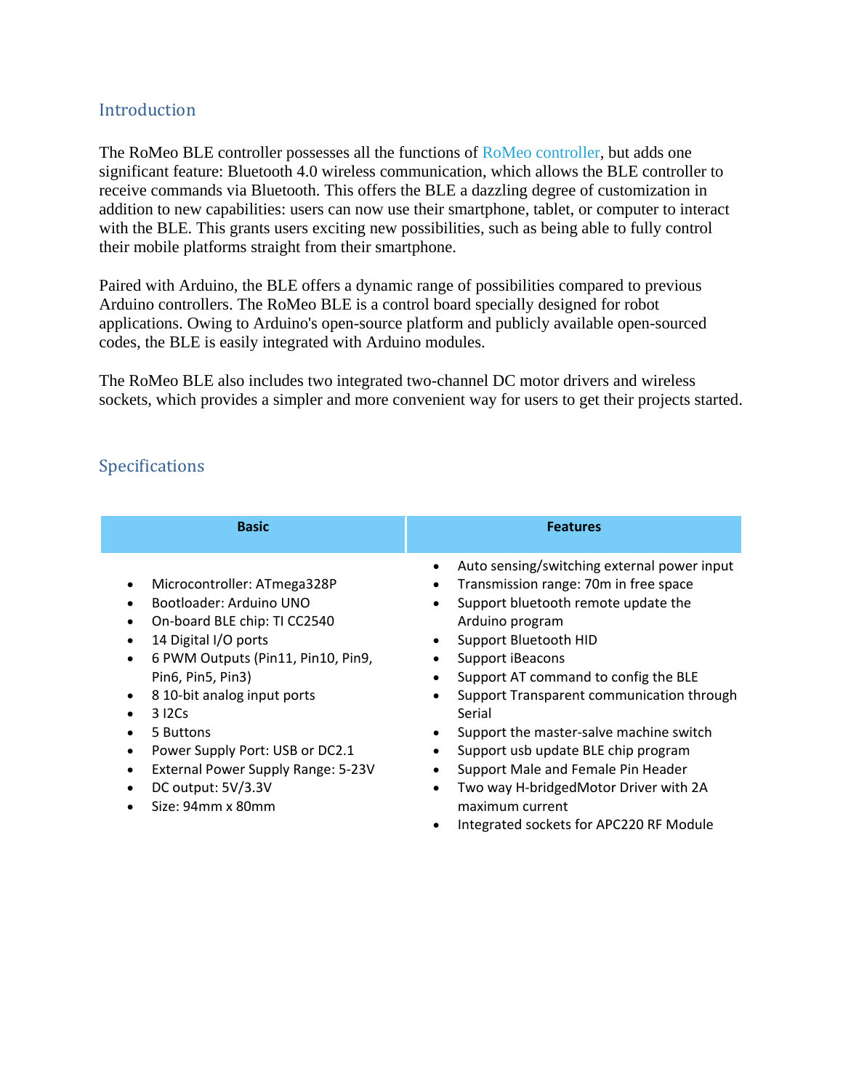## Introduction

The RoMeo BLE controller possesses all the functions of RoMeo controller, but adds one significant feature: Bluetooth 4.0 wireless communication, which allows the BLE controller to receive commands via Bluetooth. This offers the BLE a dazzling degree of customization in addition to new capabilities: users can now use their smartphone, tablet, or computer to interact with the BLE. This grants users exciting new possibilities, such as being able to fully control their mobile platforms straight from their smartphone.

Paired with Arduino, the BLE offers a dynamic range of possibilities compared to previous Arduino controllers. The RoMeo BLE is a control board specially designed for robot applications. Owing to Arduino's open-source platform and publicly available open-sourced codes, the BLE is easily integrated with Arduino modules.

The RoMeo BLE also includes two integrated two-channel DC motor drivers and wireless sockets, which provides a simpler and more convenient way for users to get their projects started.

## Specifications

| <b>Basic</b>                                                                                                                                                                                                                                                                                                                                                                                                                                                                              | <b>Features</b>                                                                                                                                                                                                                                                                                                                                                                                                                                                                                                                               |
|-------------------------------------------------------------------------------------------------------------------------------------------------------------------------------------------------------------------------------------------------------------------------------------------------------------------------------------------------------------------------------------------------------------------------------------------------------------------------------------------|-----------------------------------------------------------------------------------------------------------------------------------------------------------------------------------------------------------------------------------------------------------------------------------------------------------------------------------------------------------------------------------------------------------------------------------------------------------------------------------------------------------------------------------------------|
| Microcontroller: ATmega328P<br>$\bullet$<br>Bootloader: Arduino UNO<br>$\bullet$<br>On-board BLE chip: TI CC2540<br>٠<br>14 Digital I/O ports<br>$\bullet$<br>6 PWM Outputs (Pin11, Pin10, Pin9,<br>$\bullet$<br>Pin6, Pin5, Pin3)<br>8 10-bit analog input ports<br>$\bullet$<br>312Cs<br>$\bullet$<br>5 Buttons<br>$\bullet$<br>Power Supply Port: USB or DC2.1<br>$\bullet$<br>External Power Supply Range: 5-23V<br>$\bullet$<br>DC output: 5V/3.3V<br>$\bullet$<br>Size: 94mm x 80mm | Auto sensing/switching external power input<br>Transmission range: 70m in free space<br>Support bluetooth remote update the<br>Arduino program<br>Support Bluetooth HID<br>Support iBeacons<br>٠<br>Support AT command to config the BLE<br>٠<br>Support Transparent communication through<br>Serial<br>Support the master-salve machine switch<br>Support usb update BLE chip program<br>Support Male and Female Pin Header<br>Two way H-bridgedMotor Driver with 2A<br>٠<br>maximum current<br>Integrated sockets for APC220 RF Module<br>٠ |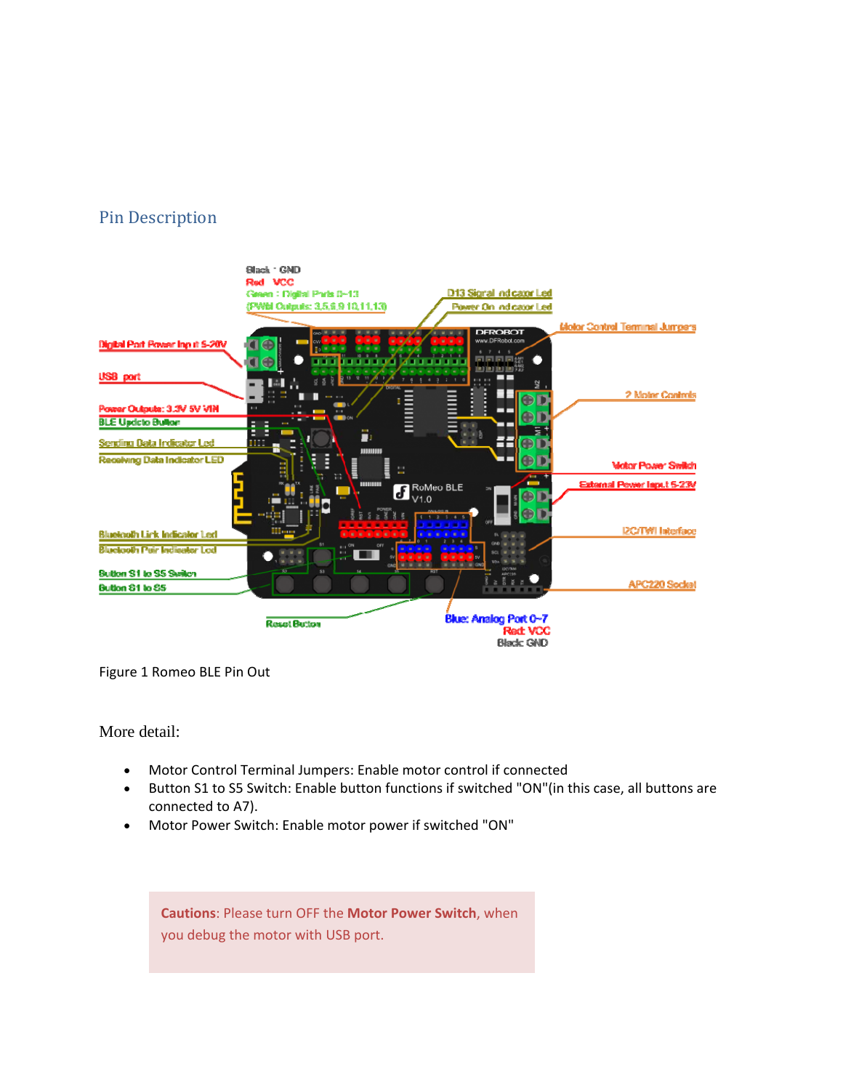## Pin Description



Figure 1 Romeo BLE Pin Out

More detail:

- Motor Control Terminal Jumpers: Enable motor control if connected
- Button S1 to S5 Switch: Enable button functions if switched "ON"(in this case, all buttons are connected to A7).
- Motor Power Switch: Enable motor power if switched "ON"

**Cautions**: Please turn OFF the **Motor Power Switch**, when you debug the motor with USB port.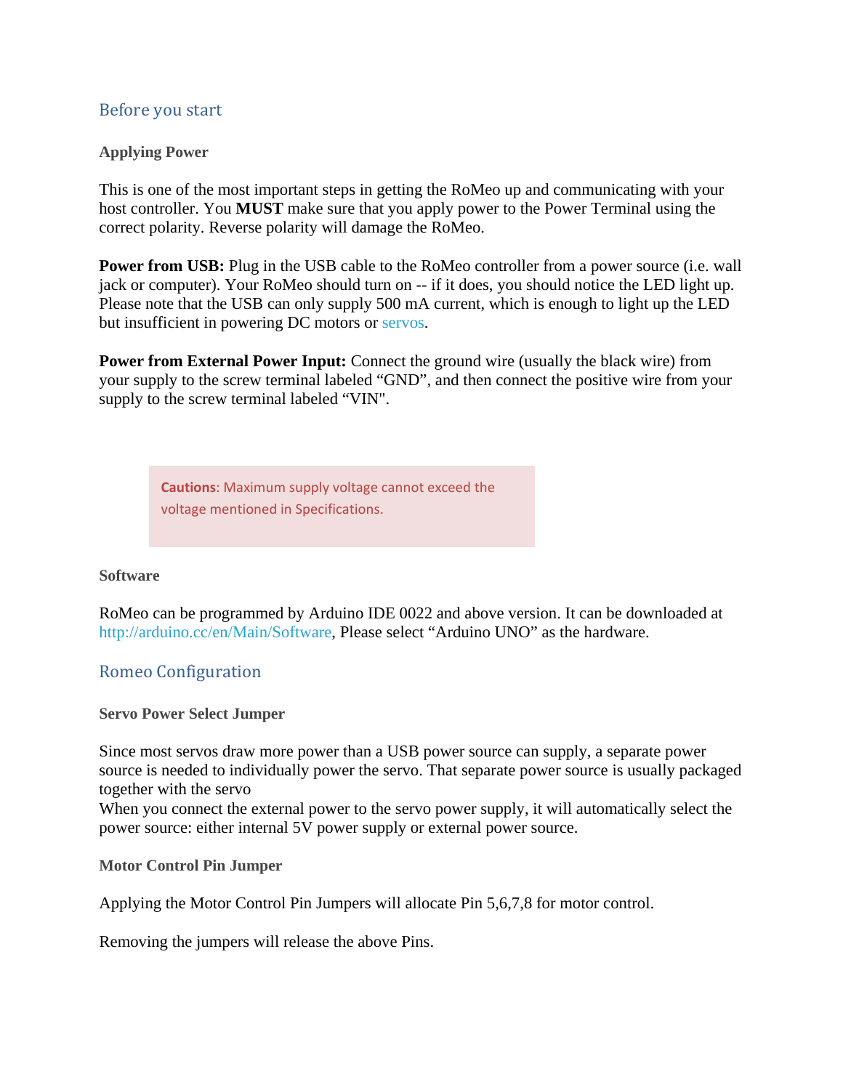### Before you start

#### **Applying Power**

This is one of the most important steps in getting the RoMeo up and communicating with your host controller. You **MUST** make sure that you apply power to the Power Terminal using the correct polarity. Reverse polarity will damage the RoMeo.

**Power from USB:** Plug in the USB cable to the RoMeo controller from a power source (i.e. wall jack or computer). Your RoMeo should turn on -- if it does, you should notice the LED light up. Please note that the USB can only supply 500 mA current, which is enough to light up the LED but insufficient in powering DC motors or servos.

**Power from External Power Input:** Connect the ground wire (usually the black wire) from your supply to the screw terminal labeled "GND", and then connect the positive wire from your supply to the screw terminal labeled "VIN".

**Cautions**: Maximum supply voltage cannot exceed the voltage mentioned in Specifications.

#### **Software**

RoMeo can be programmed by Arduino IDE 0022 and above version. It can be downloaded at http://arduino.cc/en/Main/Software, Please select "Arduino UNO" as the hardware.

### Romeo Configuration

#### **Servo Power Select Jumper**

Since most servos draw more power than a USB power source can supply, a separate power source is needed to individually power the servo. That separate power source is usually packaged together with the servo

When you connect the external power to the servo power supply, it will automatically select the power source: either internal 5V power supply or external power source.

**Motor Control Pin Jumper** 

Applying the Motor Control Pin Jumpers will allocate Pin 5,6,7,8 for motor control.

Removing the jumpers will release the above Pins.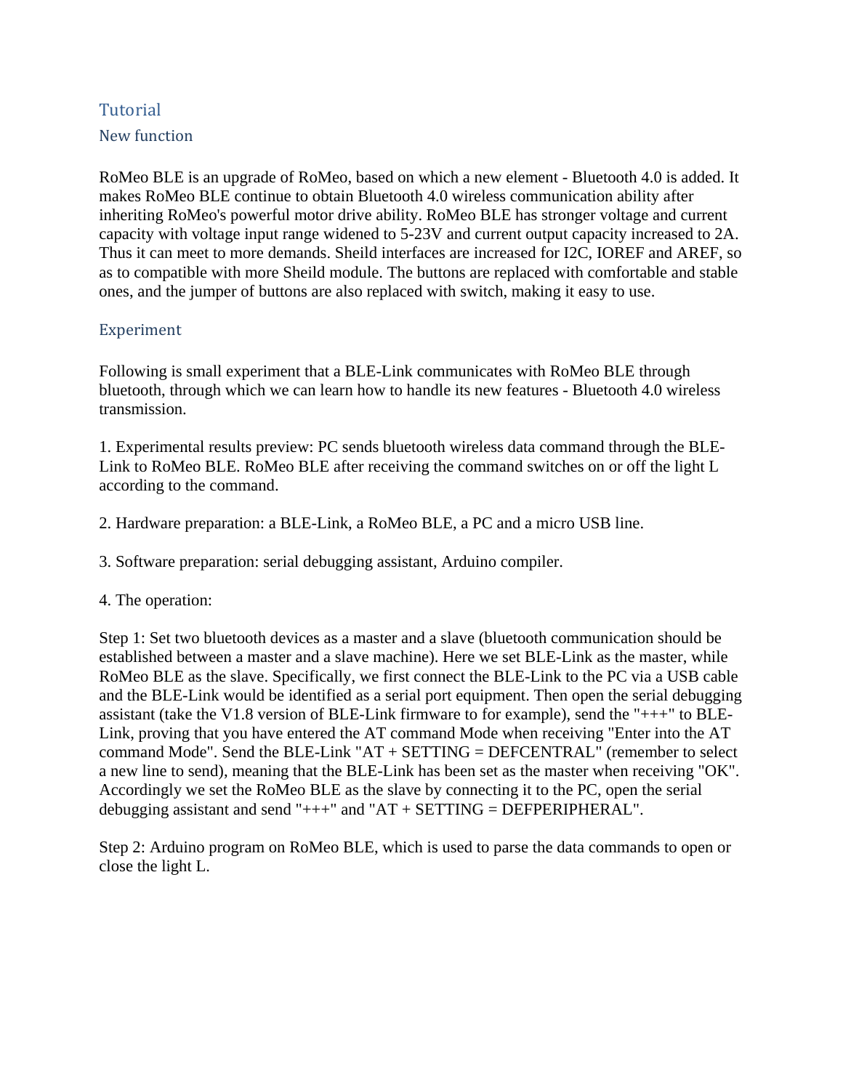## Tutorial New function

RoMeo BLE is an upgrade of RoMeo, based on which a new element - Bluetooth 4.0 is added. It makes RoMeo BLE continue to obtain Bluetooth 4.0 wireless communication ability after inheriting RoMeo's powerful motor drive ability. RoMeo BLE has stronger voltage and current capacity with voltage input range widened to 5-23V and current output capacity increased to 2A. Thus it can meet to more demands. Sheild interfaces are increased for I2C, IOREF and AREF, so as to compatible with more Sheild module. The buttons are replaced with comfortable and stable ones, and the jumper of buttons are also replaced with switch, making it easy to use.

### Experiment

Following is small experiment that a BLE-Link communicates with RoMeo BLE through bluetooth, through which we can learn how to handle its new features - Bluetooth 4.0 wireless transmission.

1. Experimental results preview: PC sends bluetooth wireless data command through the BLE-Link to RoMeo BLE. RoMeo BLE after receiving the command switches on or off the light L according to the command.

2. Hardware preparation: a BLE-Link, a RoMeo BLE, a PC and a micro USB line.

3. Software preparation: serial debugging assistant, Arduino compiler.

### 4. The operation:

Step 1: Set two bluetooth devices as a master and a slave (bluetooth communication should be established between a master and a slave machine). Here we set BLE-Link as the master, while RoMeo BLE as the slave. Specifically, we first connect the BLE-Link to the PC via a USB cable and the BLE-Link would be identified as a serial port equipment. Then open the serial debugging assistant (take the V1.8 version of BLE-Link firmware to for example), send the "+++" to BLE-Link, proving that you have entered the AT command Mode when receiving "Enter into the AT command Mode". Send the BLE-Link " $AT + SETTING = DEFCENTRAL$ " (remember to select a new line to send), meaning that the BLE-Link has been set as the master when receiving "OK". Accordingly we set the RoMeo BLE as the slave by connecting it to the PC, open the serial debugging assistant and send " $++$ " and " $AT + SETTING = DEFPERIPHERAL$ ".

Step 2: Arduino program on RoMeo BLE, which is used to parse the data commands to open or close the light L.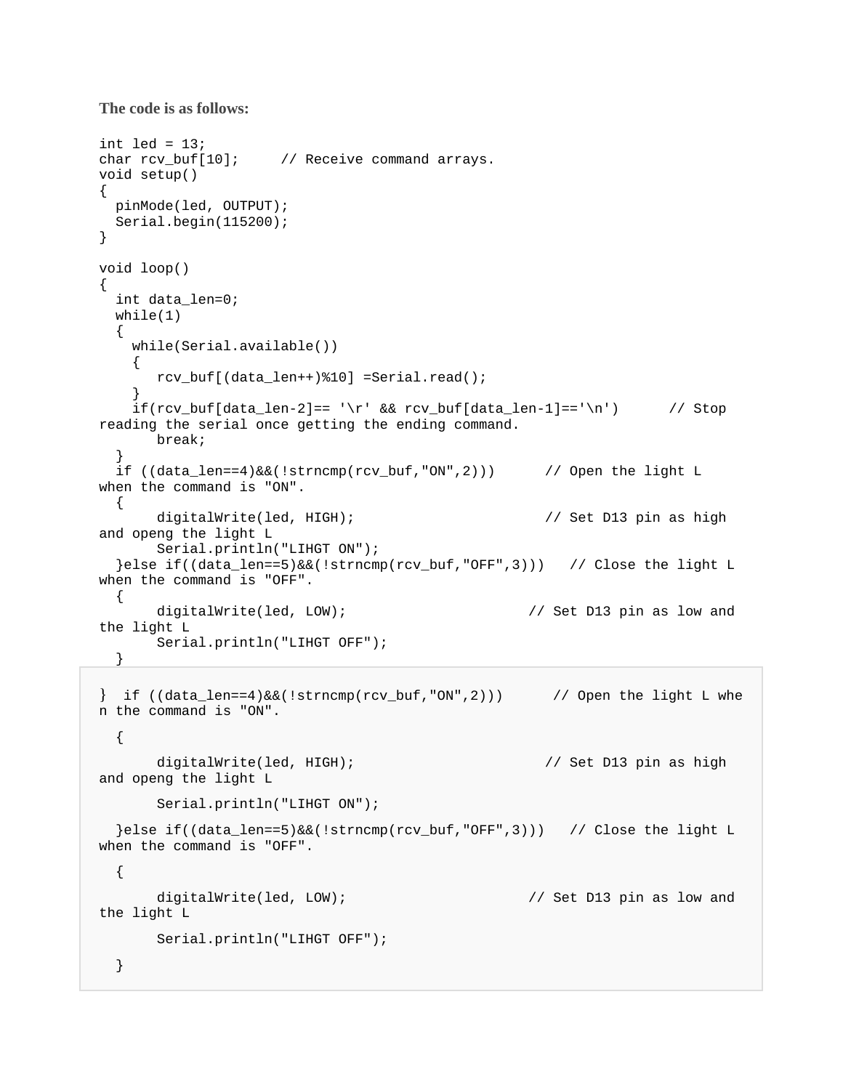```
The code is as follows:
```

```
int led = 13;
char rcv_buf[10]; // Receive command arrays.
void setup() 
{ 
  pinMode(led, OUTPUT); 
  Serial.begin(115200); 
} 
void loop() 
{ 
   int data_len=0; 
 while(1) { 
    while(Serial.available()) 
     { 
       rcv_buf[(data_len++)%10] =Serial.read(); 
 } 
    if(rcv_buf[data_len-2]== '\r' && rcv_buf[data_len-1]=='\n') // Stop
reading the serial once getting the ending command. 
       break; 
   } 
  if ((data_len==4)&&(!strncmp(rcv_buf,"ON",2))) // Open the light L 
when the command is "ON". 
  { 
       digitalWrite(led, HIGH); // Set D13 pin as high 
and openg the light L 
       Serial.println("LIHGT ON"); 
   }else if((data_len==5)&&(!strncmp(rcv_buf,"OFF",3))) // Close the light L 
when the command is "OFF". 
   { 
       digitalWrite(led, LOW); // Set D13 pin as low and 
the light L 
       Serial.println("LIHGT OFF"); 
   } 
{} if ((data_len==4)&&(!strncmp(rcv_buf,"ON",2))) // Open the light L whe
n the command is "ON". 
   { 
       digitalWrite(led, HIGH); // Set D13 pin as high 
and openg the light L 
       Serial.println("LIHGT ON"); 
   }else if((data_len==5)&&(!strncmp(rcv_buf,"OFF",3))) // Close the light L 
when the command is "OFF". 
   { 
      digitalWrite(led, LOW); \sqrt{2} // Set D13 pin as low and
the light L 
       Serial.println("LIHGT OFF");
```

```
 }
```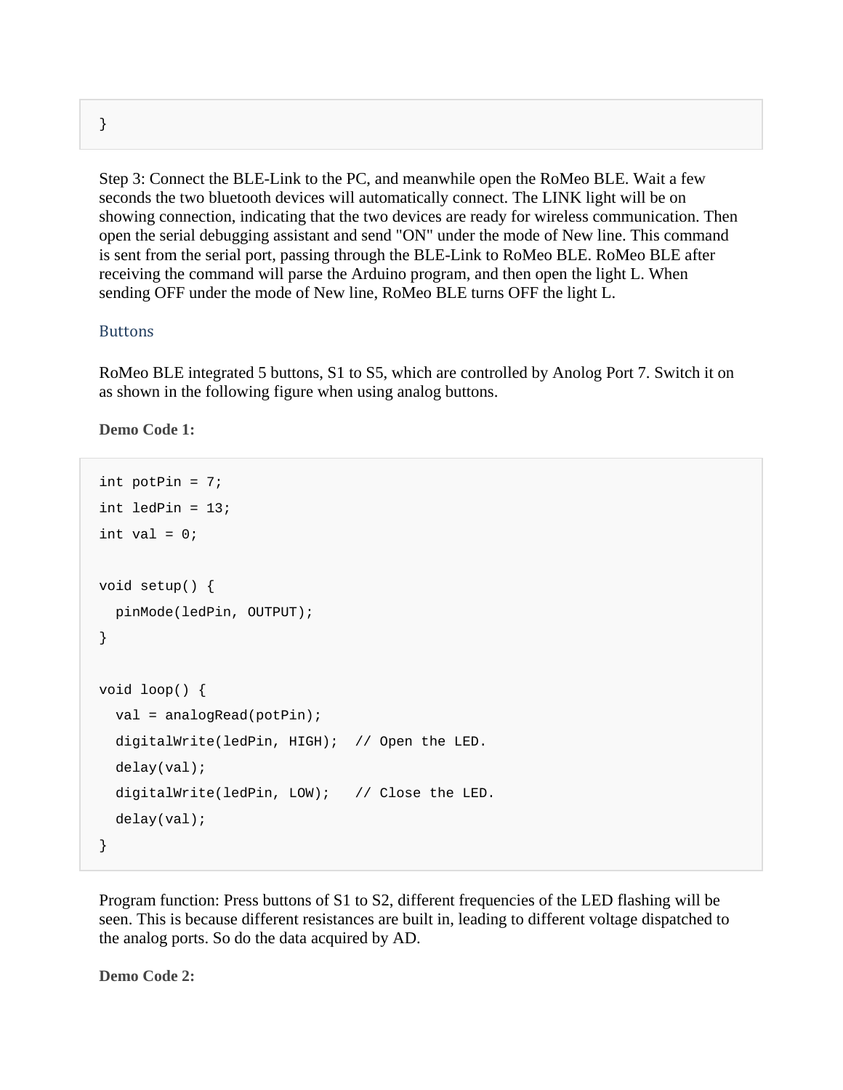Step 3: Connect the BLE-Link to the PC, and meanwhile open the RoMeo BLE. Wait a few seconds the two bluetooth devices will automatically connect. The LINK light will be on showing connection, indicating that the two devices are ready for wireless communication. Then open the serial debugging assistant and send "ON" under the mode of New line. This command is sent from the serial port, passing through the BLE-Link to RoMeo BLE. RoMeo BLE after receiving the command will parse the Arduino program, and then open the light L. When sending OFF under the mode of New line, RoMeo BLE turns OFF the light L.

#### Buttons

RoMeo BLE integrated 5 buttons, S1 to S5, which are controlled by Anolog Port 7. Switch it on as shown in the following figure when using analog buttons.

**Demo Code 1:** 

```
int potPin = 7;
int ledPin = 13;
int val = 0;void setup() { 
   pinMode(ledPin, OUTPUT); 
} 
void loop() { 
   val = analogRead(potPin); 
   digitalWrite(ledPin, HIGH); // Open the LED. 
   delay(val); 
  digitalWrite(ledPin, LOW); // Close the LED.
   delay(val); 
}
```
Program function: Press buttons of S1 to S2, different frequencies of the LED flashing will be seen. This is because different resistances are built in, leading to different voltage dispatched to the analog ports. So do the data acquired by AD.

**Demo Code 2:** 

}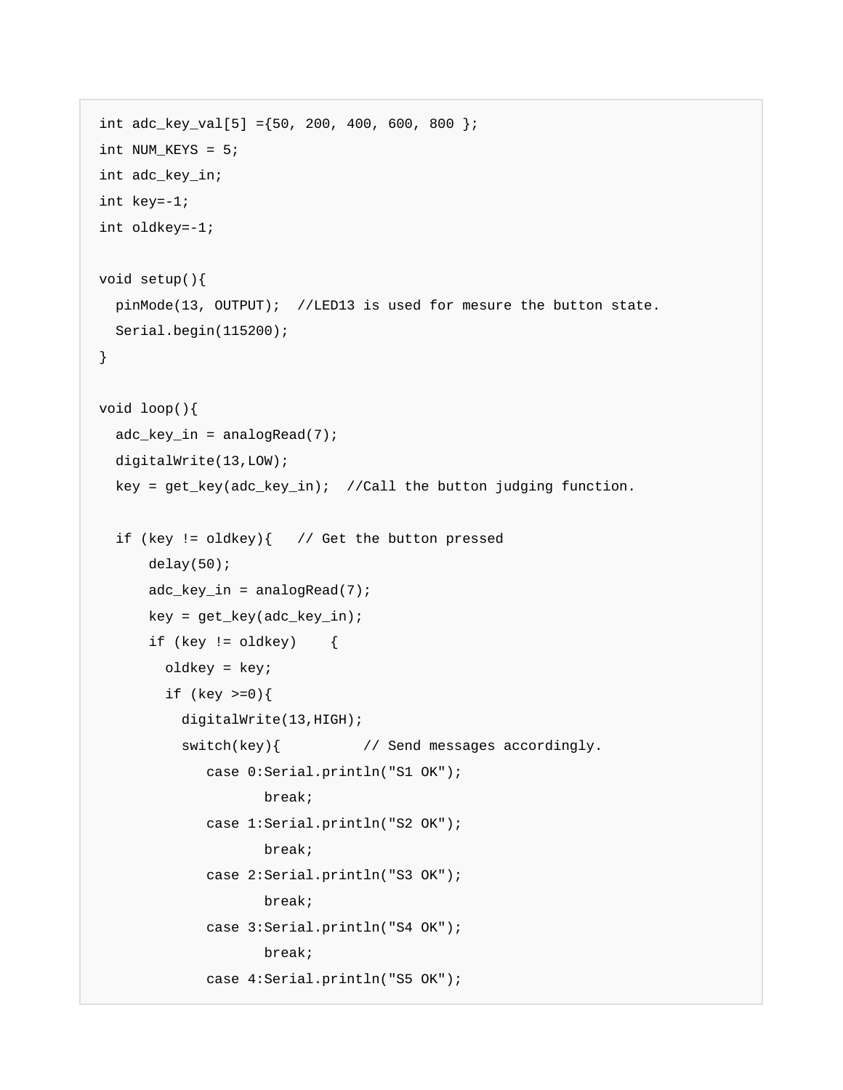```
int adc_key_val[5] ={50, 200, 400, 600, 800 };
int NUM_KEYS = 5; 
int adc_key_in; 
int key=-1; 
int oldkey=-1; 
void setup(){ 
  pinMode(13, OUTPUT); //LED13 is used for mesure the button state. 
  Serial.begin(115200); 
} 
void loop(){ 
  adc\_key\_in = analogRead(7); digitalWrite(13,LOW); 
   key = get_key(adc_key_in); //Call the button judging function. 
  if (key != oldkey)\{ // Get the button pressed
       delay(50); 
       adc_key_in = analogRead(7); 
      key = get\_key(adc\_key\_in);if (key != oldkey) {
         oldkey = key; 
         if (key >=0){ 
           digitalWrite(13,HIGH); 
          switch(key){ \frac{1}{2} // Send messages accordingly.
               case 0:Serial.println("S1 OK"); 
                      break; 
               case 1:Serial.println("S2 OK"); 
                      break; 
               case 2:Serial.println("S3 OK"); 
                      break; 
               case 3:Serial.println("S4 OK"); 
                      break; 
               case 4:Serial.println("S5 OK");
```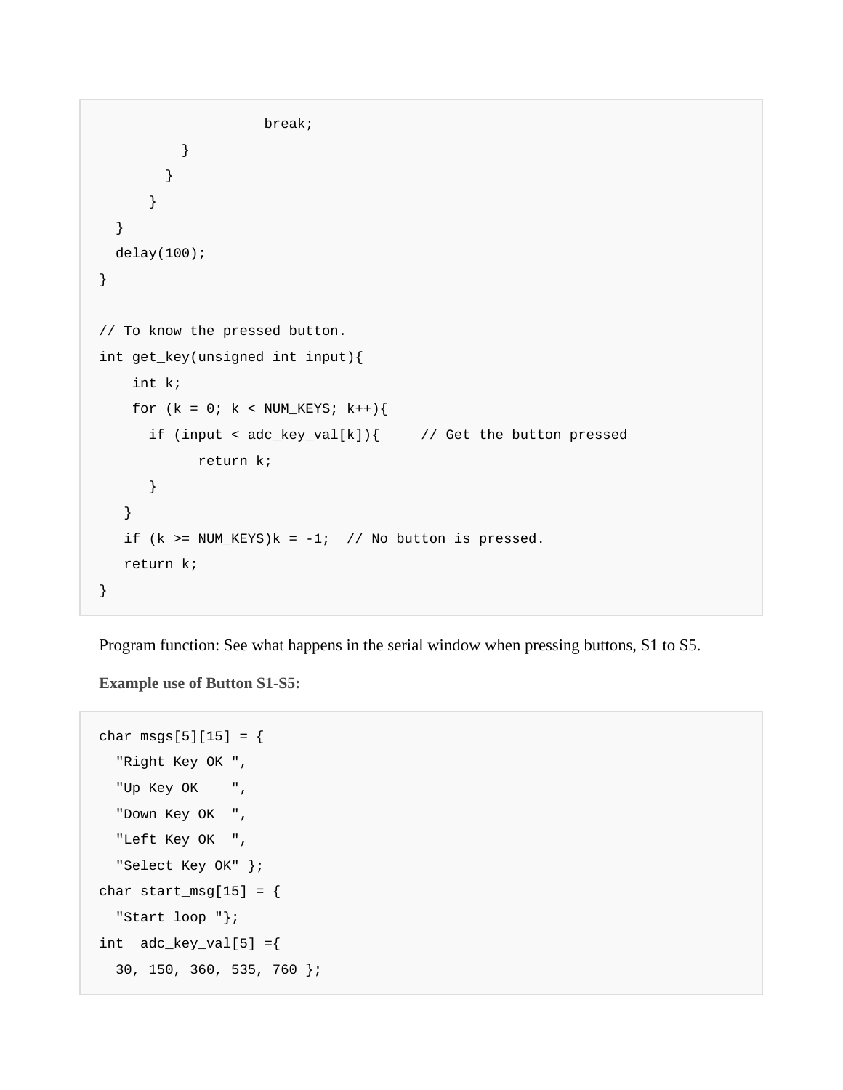```
 break; 
 } 
 } 
       } 
   } 
   delay(100); 
} 
// To know the pressed button. 
int get_key(unsigned int input){ 
     int k; 
    for (k = 0; k < NUM\_KEYS; k++)if (input < adc\_key\_val[k]) { // Get the button pressed
             return k; 
       } 
    } 
   if (k \geq NUM_KEYS)k = -1; // No button is pressed.
    return k; 
}
```
Program function: See what happens in the serial window when pressing buttons, S1 to S5.

**Example use of Button S1-S5:** 

```
char msgs[5][15] = \{ "Right Key OK ", 
   "Up Key OK ", 
   "Down Key OK ", 
   "Left Key OK ", 
   "Select Key OK" }; 
char start_msg[15] = \{ "Start loop "}; 
int adc_{key\_val[5]} = \{ 30, 150, 360, 535, 760 };
```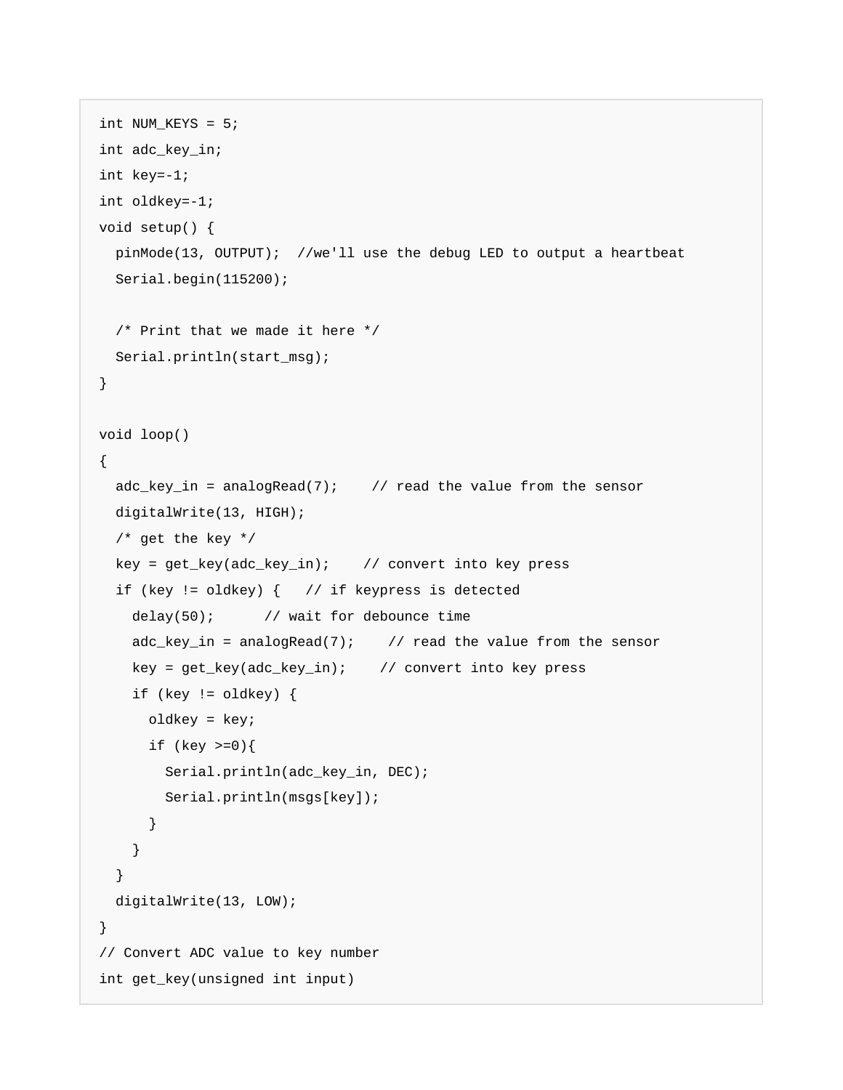```
int NUM KEYS = 5;
int adc_key_in; 
int key=-1; 
int oldkey=-1; 
void setup() { 
  pinMode(13, OUTPUT); //we'll use the debug LED to output a heartbeat 
   Serial.begin(115200); 
  /* Print that we made it here */ 
  Serial.println(start_msg); 
} 
void loop() 
{ 
  adc\_key\_in = analogRead(7); // read the value from the sensor
  digitalWrite(13, HIGH); 
  /* get the key */key = get\_key(adc\_key\_in); // convert into key press
   if (key != oldkey) { // if keypress is detected 
    delay(50); // wait for debounce time 
   adc\_key\_in = analogRead(7); // read the value from the sensor
    key = get_key(adc_key_in); // convert into key press 
    if (key != oldkey) { 
      oldkey = key; 
      if (key >=0){ 
        Serial.println(adc_key_in, DEC); 
        Serial.println(msgs[key]); 
       } 
     } 
   } 
  digitalWrite(13, LOW); 
} 
// Convert ADC value to key number 
int get_key(unsigned int input)
```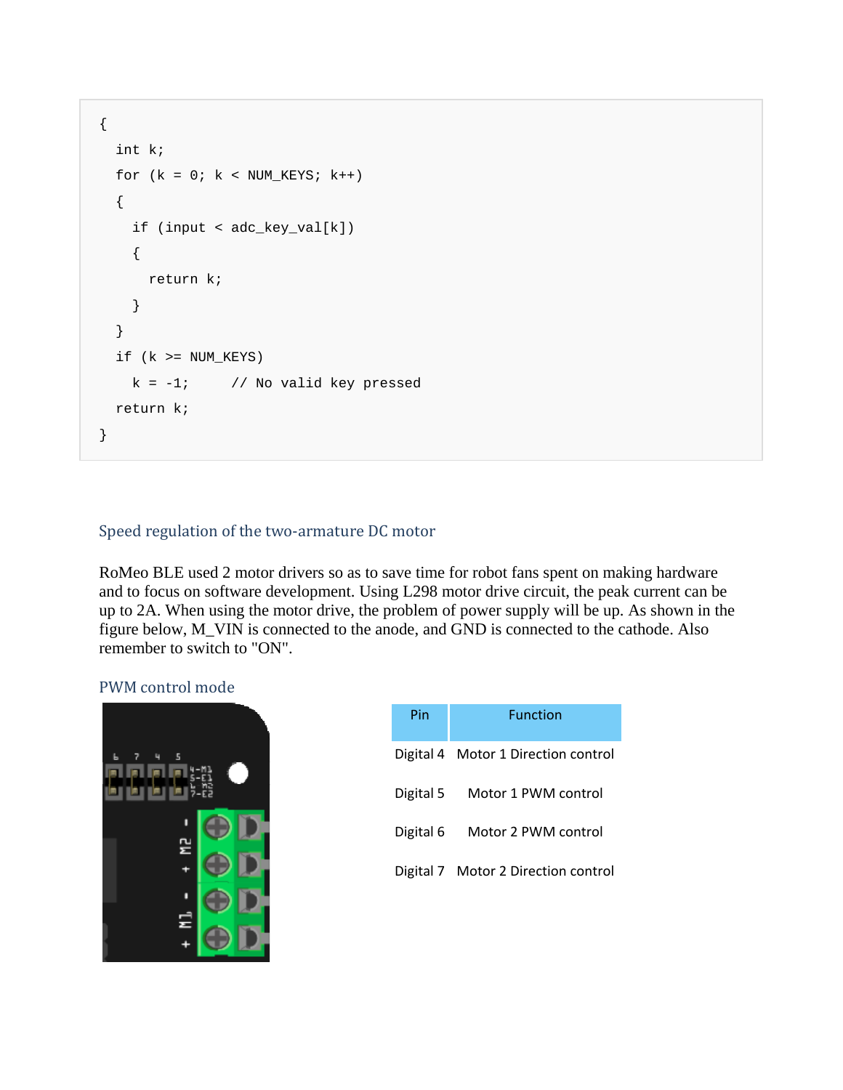```
{ 
   int k; 
  for (k = 0; k < NUM_KEYS; k++) { 
     if (input < adc_key_val[k]) 
     { 
       return k; 
     } 
   } 
  if (k \geq NUM_KEYS)k = -1; // No valid key pressed
   return k; 
}
```
### Speed regulation of the two-armature DC motor

RoMeo BLE used 2 motor drivers so as to save time for robot fans spent on making hardware and to focus on software development. Using L298 motor drive circuit, the peak current can be up to 2A. When using the motor drive, the problem of power supply will be up. As shown in the figure below, M\_VIN is connected to the anode, and GND is connected to the cathode. Also remember to switch to "ON".

### PWM control mode

| 5 |  |
|---|--|
| 걷 |  |
|   |  |
|   |  |
| Ξ |  |

| Pin       | <b>Function</b>                     |
|-----------|-------------------------------------|
|           | Digital 4 Motor 1 Direction control |
| Digital 5 | Motor 1 PWM control                 |
| Digital 6 | Motor 2 PWM control                 |
|           | Digital 7 Motor 2 Direction control |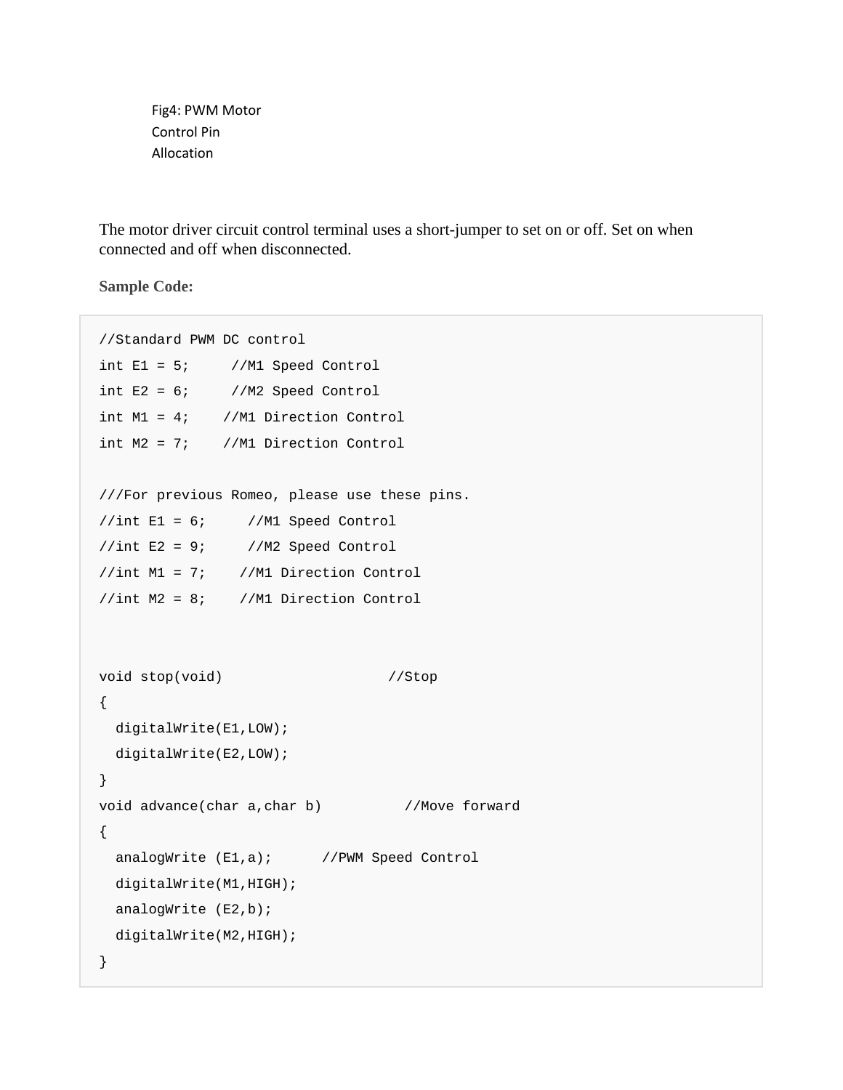Fig4: PWM Motor Control Pin Allocation

The motor driver circuit control terminal uses a short-jumper to set on or off. Set on when connected and off when disconnected.

**Sample Code:** 

```
//Standard PWM DC control 
int E1 = 5; //M1 Speed Control
int E2 = 6; //M2 Speed Control
int M1 = 4; //M1 Direction Control 
int M2 = 7; //M1 Direction Control 
///For previous Romeo, please use these pins. 
//int E1 = 6; //M1 Speed Control 
//int E2 = 9; //M2 Speed Control//int M1 = 7; //M1 Direction Control 
//int M2 = 8; //M1 Direction Control 
void stop(void) //Stop
{ 
  digitalWrite(E1,LOW); 
  digitalWrite(E2,LOW); 
} 
void advance(char a, char b) //Move forward
{ 
 analogWrite (E1,a); //PWM Speed Control
  digitalWrite(M1,HIGH); 
 analogWrite (E2,b);
  digitalWrite(M2,HIGH); 
}
```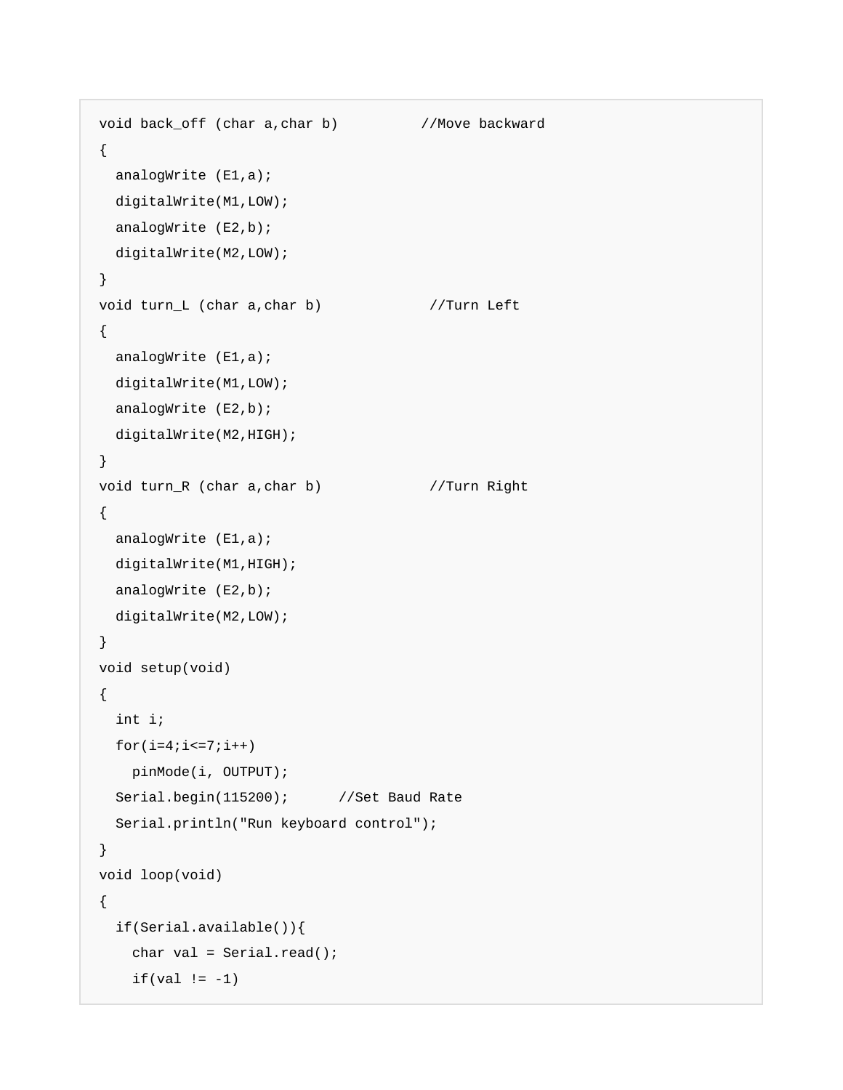```
void back_off (char a,char b) //Move backward 
{ 
  analogWrite (E1,a); 
  digitalWrite(M1,LOW); 
 analogWrite (E2,b);
  digitalWrite(M2,LOW); 
} 
void turn_L (char a, char b) //Turn Left
{ 
  analogWrite (E1,a); 
  digitalWrite(M1,LOW); 
 analogWrite (E2,b);
  digitalWrite(M2,HIGH); 
} 
void turn_R (char a, char b) //Turn Right
{ 
  analogWrite (E1,a); 
  digitalWrite(M1,HIGH); 
 analogWrite (E2,b);
  digitalWrite(M2,LOW); 
} 
void setup(void) 
{ 
   int i; 
 for(i=4;i<=7;i++)
   pinMode(i, OUTPUT); 
 Serial.begin(115200); //Set Baud Rate
   Serial.println("Run keyboard control"); 
} 
void loop(void) 
{ 
   if(Serial.available()){ 
    char val = Serial.read(); 
    if(val != -1)
```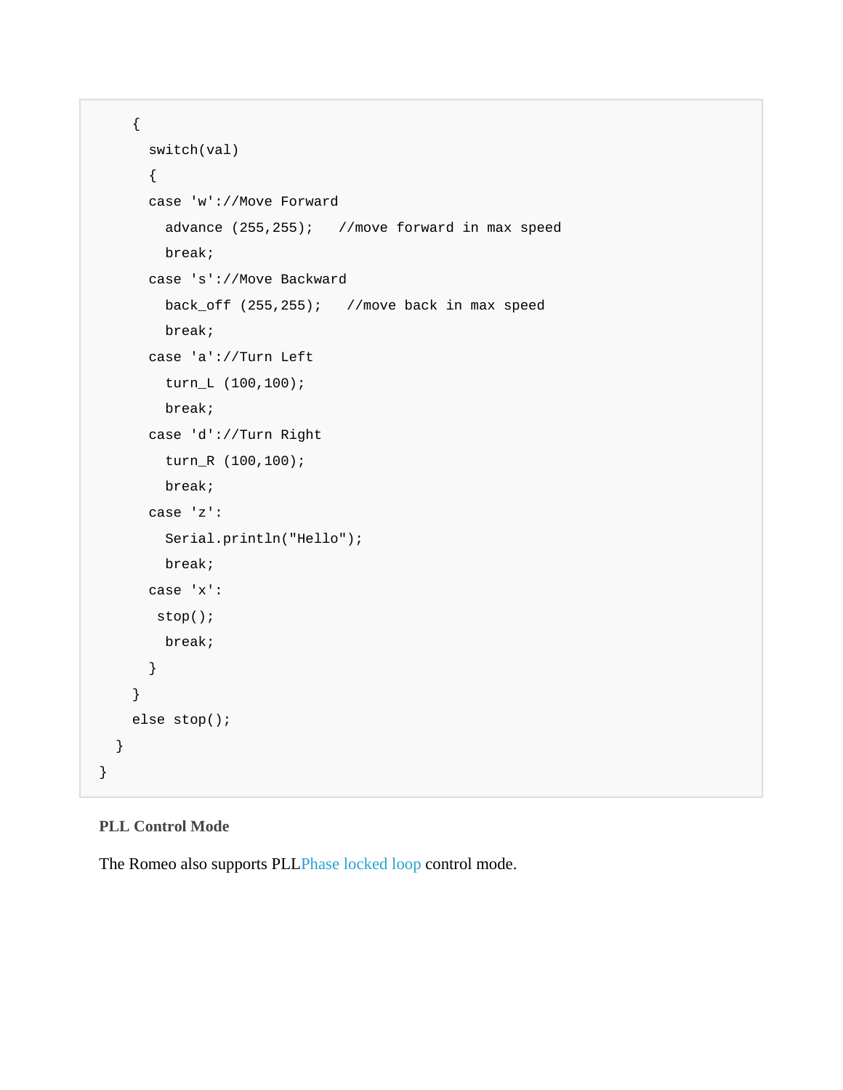```
 { 
     switch(val) 
     { 
     case 'w'://Move Forward 
       advance (255,255); //move forward in max speed 
       break; 
     case 's'://Move Backward 
       back_off (255,255); //move back in max speed 
       break; 
     case 'a'://Turn Left 
       turn_L (100,100); 
       break; 
     case 'd'://Turn Right 
       turn_R (100,100); 
       break; 
     case 'z': 
       Serial.println("Hello"); 
       break; 
     case 'x': 
     stop(); 
       break; 
     } 
   } 
   else stop(); 
 }
```
### **PLL Control Mode**

}

The Romeo also supports PLLPhase locked loop control mode.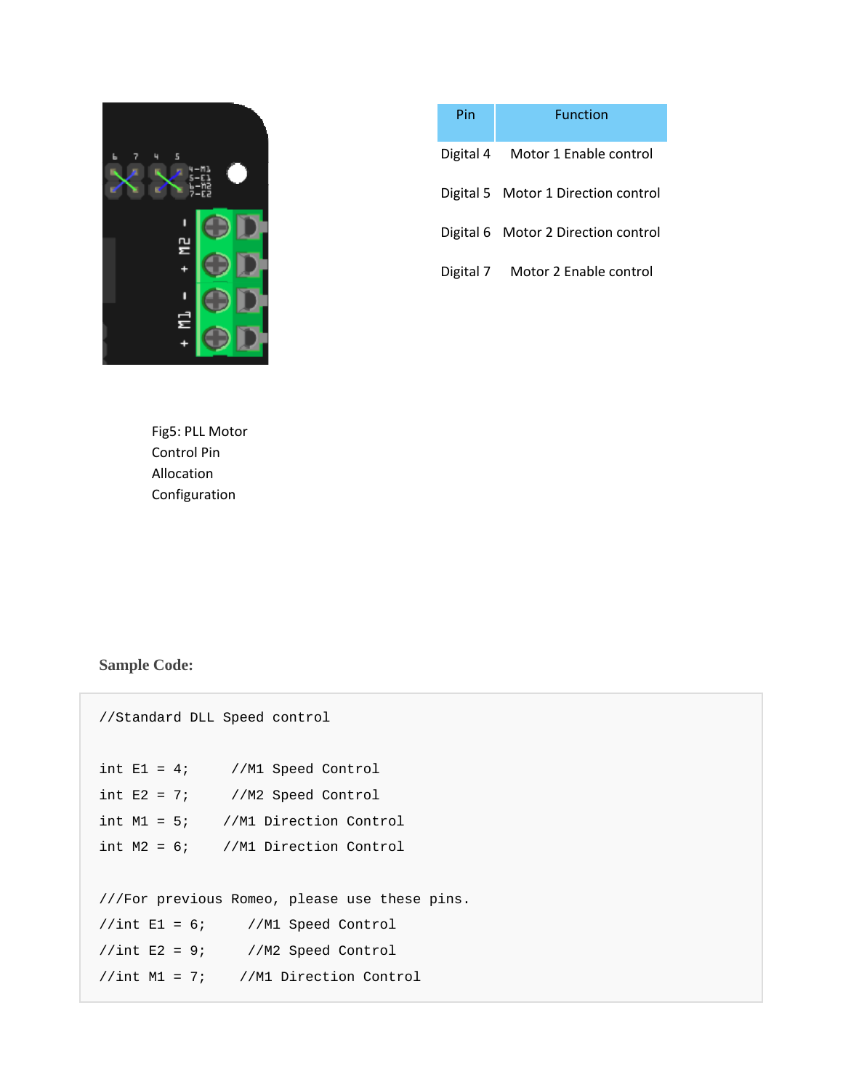

| Pin       | Function                            |
|-----------|-------------------------------------|
|           | Digital 4 Motor 1 Enable control    |
|           | Digital 5 Motor 1 Direction control |
|           | Digital 6 Motor 2 Direction control |
| Digital 7 | Motor 2 Enable control              |

Fig5: PLL Motor Control Pin Allocation Configuration

## **Sample Code:**

| //Standard DLL Speed control                  |
|-----------------------------------------------|
| int $E1 = 4$ ; //M1 Speed Control             |
| int $E2 = 7$ ; //M2 Speed Control             |
| int $M1 = 5$ ; //M1 Direction Control         |
| int $M2 = 6$ ; //M1 Direction Control         |
|                                               |
| ///For previous Romeo, please use these pins. |
| $//int E1 = 6; //M1 Speed Control$            |
| $//int E2 = 9; //M2 Speed Control$            |
| $//int M1 = 7; //M1 Direction Control$        |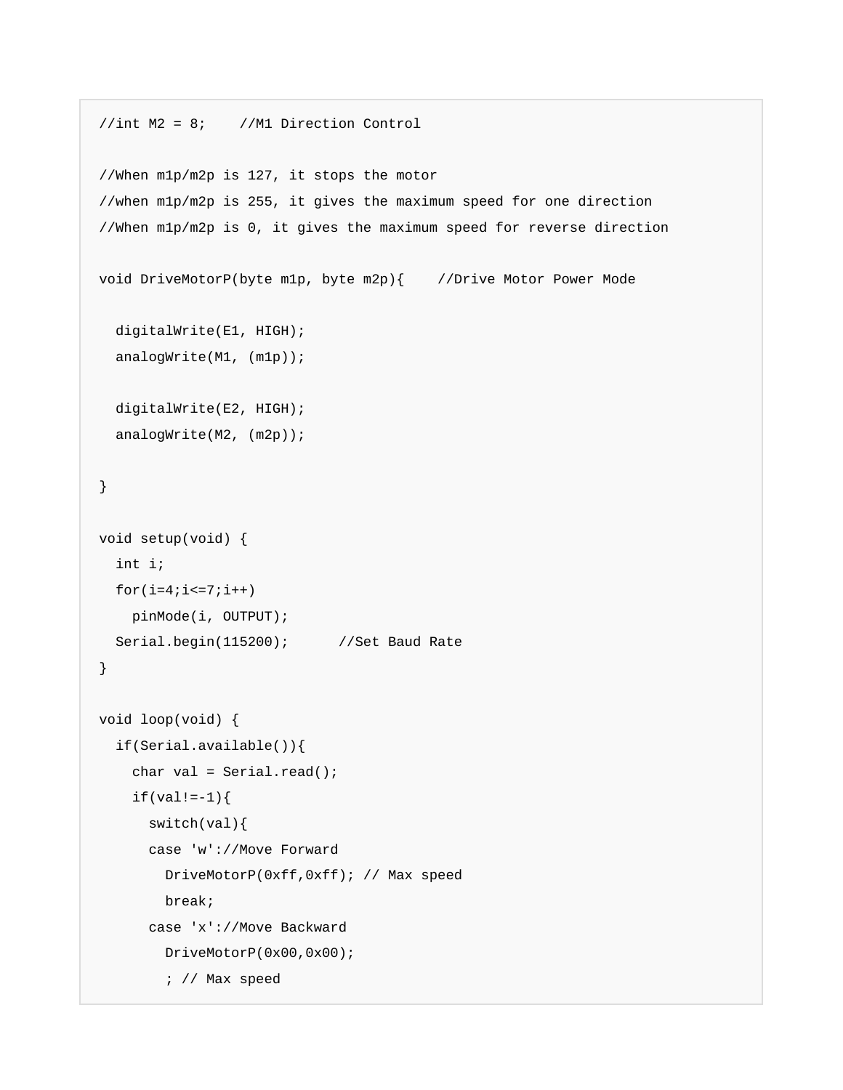```
//int M2 = 8; //M1 Direction Control 
//When m1p/m2p is 127, it stops the motor 
//when m1p/m2p is 255, it gives the maximum speed for one direction 
//When m1p/m2p is 0, it gives the maximum speed for reverse direction 
void DriveMotorP(byte m1p, byte m2p){ //Drive Motor Power Mode
   digitalWrite(E1, HIGH); 
 analogWrite(M1, (m1p));
  digitalWrite(E2, HIGH); 
  analogWrite(M2, (m2p)); 
} 
void setup(void) { 
  int i; 
 for(i=4;i<=7;i++)
    pinMode(i, OUTPUT); 
 Serial.begin(115200); //Set Baud Rate
} 
void loop(void) { 
   if(Serial.available()){ 
    char val = Serial.read();
    if(val!=-1){} switch(val){ 
       case 'w'://Move Forward 
         DriveMotorP(0xff,0xff); // Max speed 
         break; 
       case 'x'://Move Backward 
         DriveMotorP(0x00,0x00); 
         ; // Max speed
```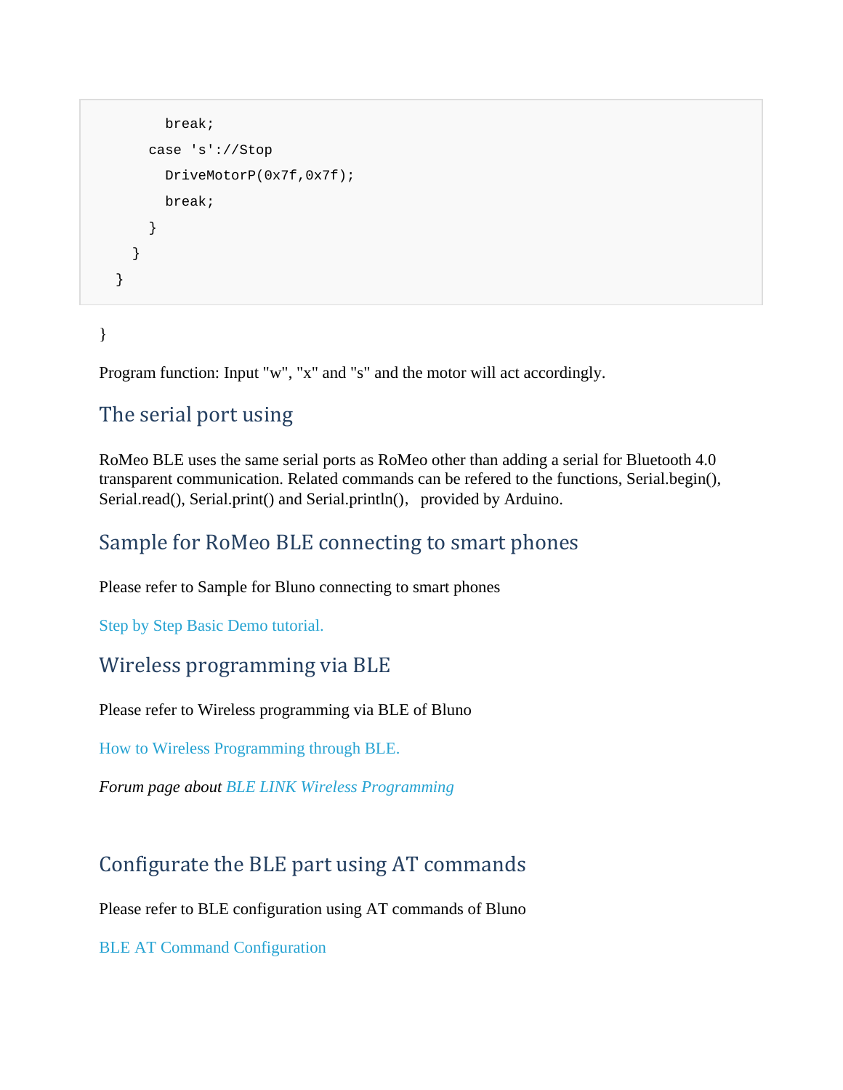```
 break; 
      case 's'://Stop 
        DriveMotorP(0x7f,0x7f); 
        break; 
      } 
   } 
 }
```
## }

Program function: Input "w", "x" and "s" and the motor will act accordingly.

## The serial port using

RoMeo BLE uses the same serial ports as RoMeo other than adding a serial for Bluetooth 4.0 transparent communication. Related commands can be refered to the functions, Serial.begin(), Serial.read(), Serial.print() and Serial.println(), provided by Arduino.

## Sample for RoMeo BLE connecting to smart phones

Please refer to Sample for Bluno connecting to smart phones

Step by Step Basic Demo tutorial.

## Wireless programming via BLE

Please refer to Wireless programming via BLE of Bluno

How to Wireless Programming through BLE.

*Forum page about BLE LINK Wireless Programming*

## Configurate the BLE part using AT commands

Please refer to BLE configuration using AT commands of Bluno

BLE AT Command Configuration